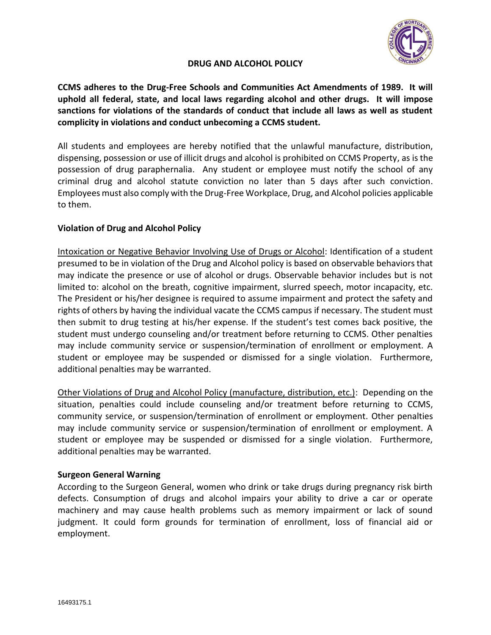

# **DRUG AND ALCOHOL POLICY**

**CCMS adheres to the Drug-Free Schools and Communities Act Amendments of 1989. It will uphold all federal, state, and local laws regarding alcohol and other drugs. It will impose sanctions for violations of the standards of conduct that include all laws as well as student complicity in violations and conduct unbecoming a CCMS student.**

All students and employees are hereby notified that the unlawful manufacture, distribution, dispensing, possession or use of illicit drugs and alcohol is prohibited on CCMS Property, as is the possession of drug paraphernalia. Any student or employee must notify the school of any criminal drug and alcohol statute conviction no later than 5 days after such conviction. Employees must also comply with the Drug-Free Workplace, Drug, and Alcohol policies applicable to them.

## **Violation of Drug and Alcohol Policy**

Intoxication or Negative Behavior Involving Use of Drugs or Alcohol: Identification of a student presumed to be in violation of the Drug and Alcohol policy is based on observable behaviors that may indicate the presence or use of alcohol or drugs. Observable behavior includes but is not limited to: alcohol on the breath, cognitive impairment, slurred speech, motor incapacity, etc. The President or his/her designee is required to assume impairment and protect the safety and rights of others by having the individual vacate the CCMS campus if necessary. The student must then submit to drug testing at his/her expense. If the student's test comes back positive, the student must undergo counseling and/or treatment before returning to CCMS. Other penalties may include community service or suspension/termination of enrollment or employment. A student or employee may be suspended or dismissed for a single violation. Furthermore, additional penalties may be warranted.

Other Violations of Drug and Alcohol Policy (manufacture, distribution, etc.): Depending on the situation, penalties could include counseling and/or treatment before returning to CCMS, community service, or suspension/termination of enrollment or employment. Other penalties may include community service or suspension/termination of enrollment or employment. A student or employee may be suspended or dismissed for a single violation. Furthermore, additional penalties may be warranted.

## **Surgeon General Warning**

According to the Surgeon General, women who drink or take drugs during pregnancy risk birth defects. Consumption of drugs and alcohol impairs your ability to drive a car or operate machinery and may cause health problems such as memory impairment or lack of sound judgment. It could form grounds for termination of enrollment, loss of financial aid or employment.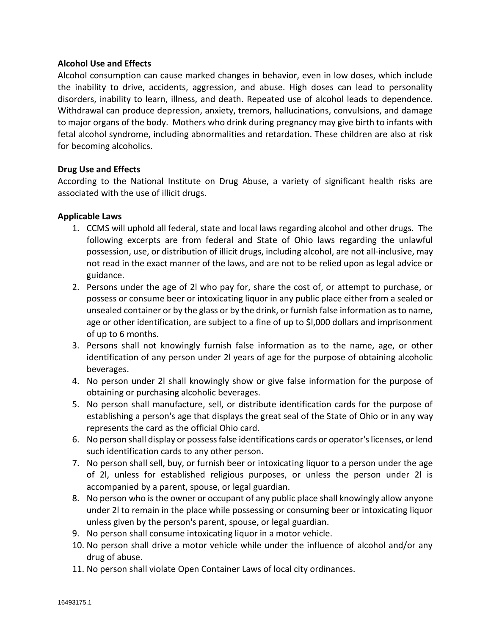### **Alcohol Use and Effects**

Alcohol consumption can cause marked changes in behavior, even in low doses, which include the inability to drive, accidents, aggression, and abuse. High doses can lead to personality disorders, inability to learn, illness, and death. Repeated use of alcohol leads to dependence. Withdrawal can produce depression, anxiety, tremors, hallucinations, convulsions, and damage to major organs of the body. Mothers who drink during pregnancy may give birth to infants with fetal alcohol syndrome, including abnormalities and retardation. These children are also at risk for becoming alcoholics.

## **Drug Use and Effects**

According to the National Institute on Drug Abuse, a variety of significant health risks are associated with the use of illicit drugs.

## **Applicable Laws**

- 1. CCMS will uphold all federal, state and local laws regarding alcohol and other drugs. The following excerpts are from federal and State of Ohio laws regarding the unlawful possession, use, or distribution of illicit drugs, including alcohol, are not all-inclusive, may not read in the exact manner of the laws, and are not to be relied upon as legal advice or guidance.
- 2. Persons under the age of 2l who pay for, share the cost of, or attempt to purchase, or possess or consume beer or intoxicating liquor in any public place either from a sealed or unsealed container or by the glass or by the drink, or furnish false information as to name, age or other identification, are subject to a fine of up to \$l,000 dollars and imprisonment of up to 6 months.
- 3. Persons shall not knowingly furnish false information as to the name, age, or other identification of any person under 2l years of age for the purpose of obtaining alcoholic beverages.
- 4. No person under 2l shall knowingly show or give false information for the purpose of obtaining or purchasing alcoholic beverages.
- 5. No person shall manufacture, sell, or distribute identification cards for the purpose of establishing a person's age that displays the great seal of the State of Ohio or in any way represents the card as the official Ohio card.
- 6. No person shall display or possess false identifications cards or operator's licenses, or lend such identification cards to any other person.
- 7. No person shall sell, buy, or furnish beer or intoxicating liquor to a person under the age of 2l, unless for established religious purposes, or unless the person under 2l is accompanied by a parent, spouse, or legal guardian.
- 8. No person who is the owner or occupant of any public place shall knowingly allow anyone under 2l to remain in the place while possessing or consuming beer or intoxicating liquor unless given by the person's parent, spouse, or legal guardian.
- 9. No person shall consume intoxicating liquor in a motor vehicle.
- 10. No person shall drive a motor vehicle while under the influence of alcohol and/or any drug of abuse.
- 11. No person shall violate Open Container Laws of local city ordinances.